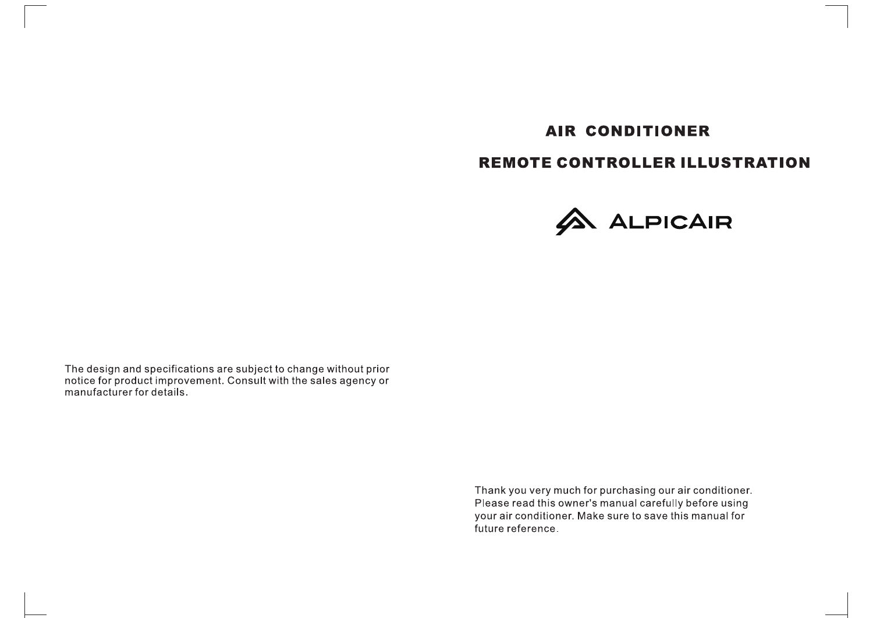# **AIR CONDITIONER**

# **REMOTE CONTROLLER ILLUSTRATION**



The design and specifications are subject to change without prior notice for product improvement. Consult with the sales agency or manufacturer for details.

> Thank you very much for purchasing our air conditioner. Please read this owner's manual carefully before using your air conditioner. Make sure to save this manual for future reference.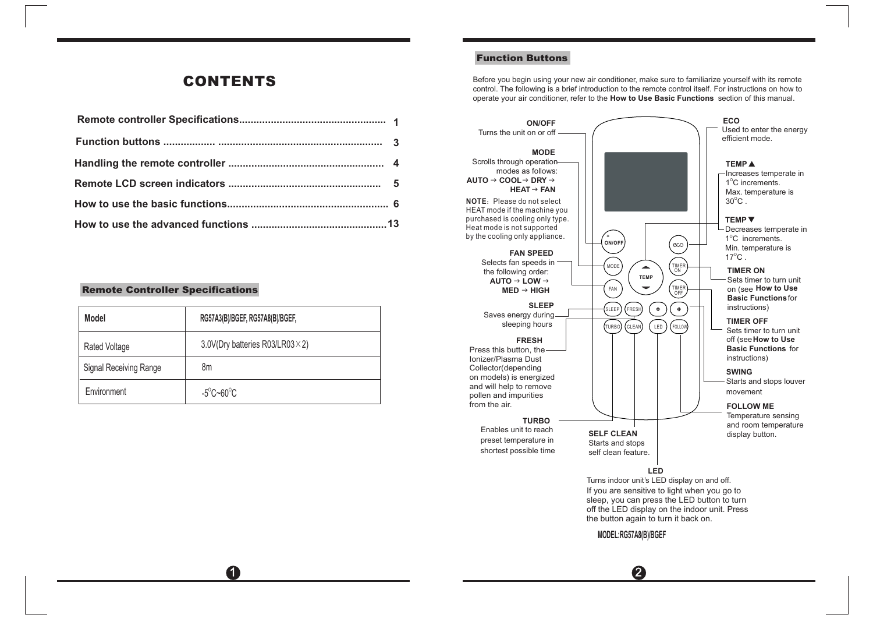## *CONTENTS*

#### *Remote Controller Specifications*

| <b>Model</b>           | RG57A3(B)/BGEF, RG57A8(B)/BGEF, |
|------------------------|---------------------------------|
| Rated Voltage          | 3.0V(Dry batteries R03/LR03×2)  |
| Signal Receiving Range | 8m                              |
| Environment            | $-5^{\circ}$ C~60 $^{\circ}$ C  |

 $\mathbf 0$ 

### *Function Buttons*

Before you begin using your new air conditioner, make sure to familiarize yourself with its remote control. The following is a brief introduction to the remote control itself. For instructions on how to operate your air conditioner, refer to the **How to Use Basic Functions** section of this manual.



**MODEL:RG57A8(B)/BGEF**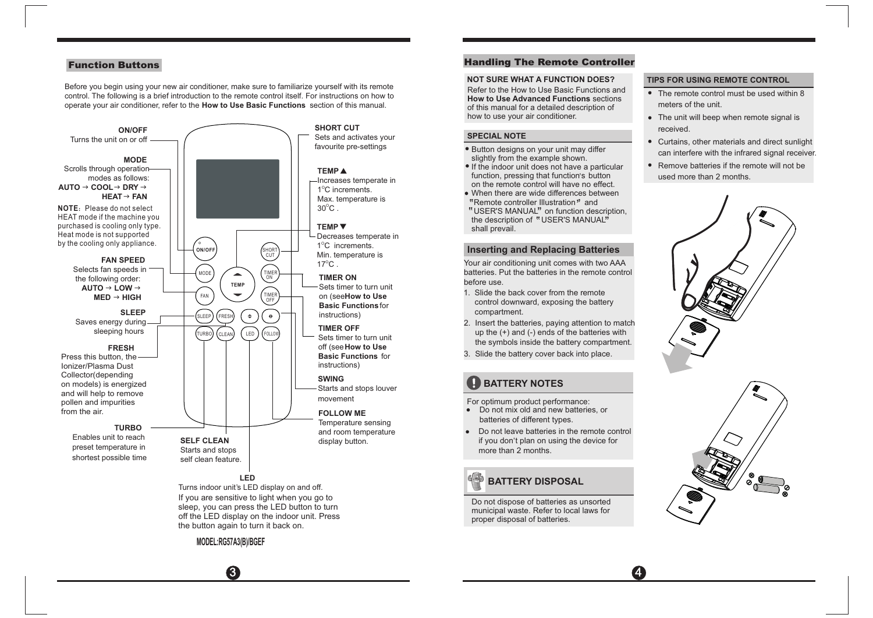Before you begin using your new air conditioner, make sure to familiarize yourself with its remote control. The following is a brief introduction to the remote control itself. For instructions on how to operate your air conditioner, refer to the **How to Use Basic Functions** section of this manual.



### *Function Buttons Handling The Remote Controller*

#### **NOT SURE WHAT A FUNCTION DOES?**

Refer to the How to Use Basic Functions and **How to Use Advanced Functions** sections of this manual for a detailed description of how to use your air conditioner.

#### **SPECIAL NOTE**

- **Button designs on your unit may differ** slightly from the example shown.
- If the indoor unit does not have a particular ments in about the spot function and particular function, pressing that function's button on the remote control will have no effect.
- When there are wide differences between When there are wide differences bet<br>"Remote controller Illustration" and "Remote controller Illustration*"* and<br>"USER'S MANUAL" on function description,
- 'USER'S MANUAL'' on function descrip<br>the description of "USER'S MANUAL<mark>"</mark> shall prevail.

#### **Inserting and Replacing Batteries**

Your air conditioning unit comes with two AAA batteries. Put the batteries in the remote control before use.

- 1. Slide the back cover from the remote control downward, exposing the battery compartment.
- 2. Insert the batteries, paying attention to match up the (+) and (-) ends of the batteries with the symbols inside the battery compartment.
- 3. Slide the battery cover back into place.

## **BATTERY NOTES**

- For optimum product performance:
- Do not mix old and new batteries, or batteries of different types.
- Do not leave batteries in the remote control  $\bullet$ Be not leave batteries in the remote contribution. more than 2 months.

## **BATTERY DISPOSAL**

Do not dispose of batteries as unsorted municipal waste. Refer to local laws for proper disposal of batteries.

#### **TIPS FOR USING REMOTE CONTROL**

- The remote control must be used within 8 meters of the unit.
- The unit will beep when remote signal is received.
- Curtains, other materials and direct sunlight can interfere with the infrared signal receiver.
- Remove batteries if the remote will not be used more than 2 months.



 $\overline{3}$   $\overline{4}$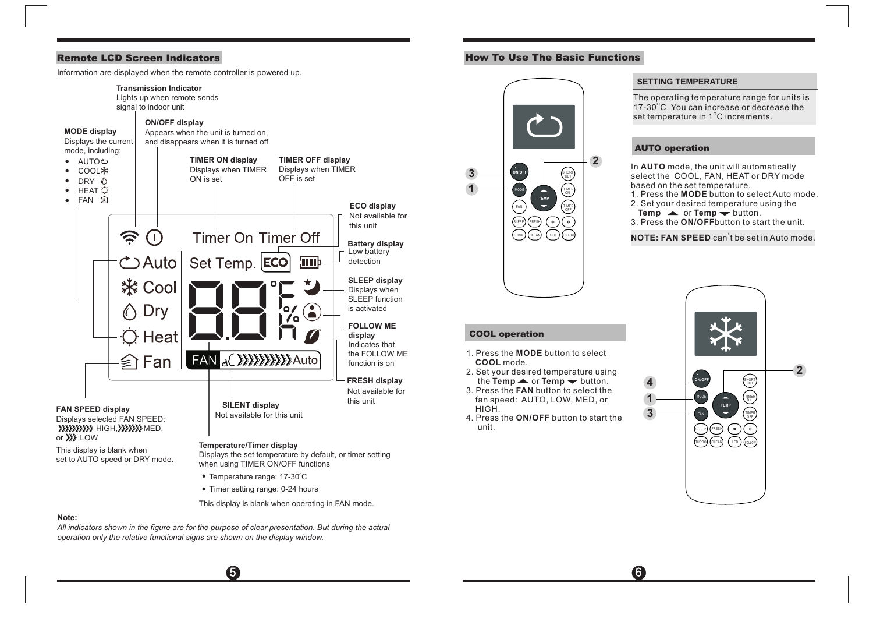Information are displayed when the remote controller is powered up.



when using TIMER ON/OFF functions

- Temperature range: 17-30°C
- Timer setting range: 0-24 hours

This display is blank when operating in FAN mode.

 $\sim$  5  $\sim$  6

#### **Note:**

*operation only the relative functional signs are shown on the display window. All indicators shown in the figure are for the purpose of clear presentation. But during the actual* 

### *Remote LCD Screen Indicators How To Use The Basic Functions*



1. Press the **MODE** button to select

2. Set your desired temperature using the **Temp**  $\blacktriangle$  or **Temp**  $\blacktriangledown$  button. 3. Press the **FAN** button to select the fan speed: AUTO, LOW, MED, or

**COOL** mode.

*COOL operation*

HIGH.

unit.

#### **SETTING TEMPERATURE**

The operating temperature range for units is 17-30 °C. You can increase or decrease the set temperature in 1 $^{\circ}$ C increments.

#### *AUTO operation*

In **AUTO** mode, the unit will automatically select the COOL, FAN, HEAT or DRY mode based on the set temperature.

- 1. Press the **MODE** button to select Auto mode.
- 2. Set your desired temperature using the
- **Temp**  $\blacktriangle$  **or <b>Temp**  $\blacktriangledown$  button.
- 3. Press the **ON/OFF**button to start the unit.

**NOTE: FAN SPEED** can<sup>'</sup>t be set in Auto mode.

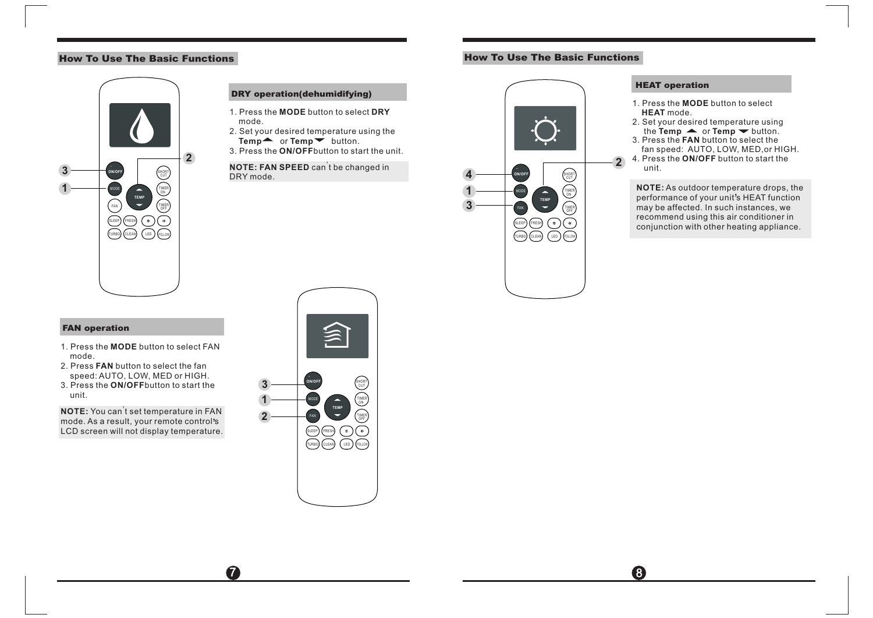## *How To Use The Basic Functions How To Use The Basic Functions*



#### *DRY operation(dehumidifying)*

- 1. Press the **MODE** button to select **DRY** mode.
- 2. Set your desired temperature using the Temp<sup>\*</sup> or **Temp** button.
- 3. Press the **ON/OFF**button to start the unit.

### **NOTE: FAN SPEED** can<sup>'</sup>t be changed in DRY mode.

## **4 ON/OFF** SHURI) **1 TEMP** MODE TIMER ON **3** FAN OFF) SLEEP FRESH  $(\cdot)$  $(\textcolor{red}{\bullet})$ TURBO CLEAN LED FOLLOW

#### *HEAT operation*

**2**

- 1. Press the **MODE** button to select **HEAT** mode.
- 2. Set your desired temperature using the  $Temp \rightarrow or Temp \rightarrow button$ .
- 3. Press the **FAN** button to select the fan speed: AUTO, LOW, MED,or HIGH.
- 4. Press the **ON/OFF** button to start the unit.

**NOTE:** As outdoor temperature drops, the **NO I E:** As outdoor temperature drops, the<br>performance of your unit's HEAT function may be affected. In such instances, we recommend using this air conditioner in conjunction with other heating appliance.

#### *FAN operation*

- 1. Press the **MODE** button to select FAN mode.
- 2. Press **FAN** button to select the fan speed: AUTO, LOW, MED or HIGH. 3. Press the **ON/OFF**button to start the
- unit.

**NOTE:** You can<sup>'</sup>t set temperature in FAN mode. As a result, your remote control s , LCD screen will not display temperature.

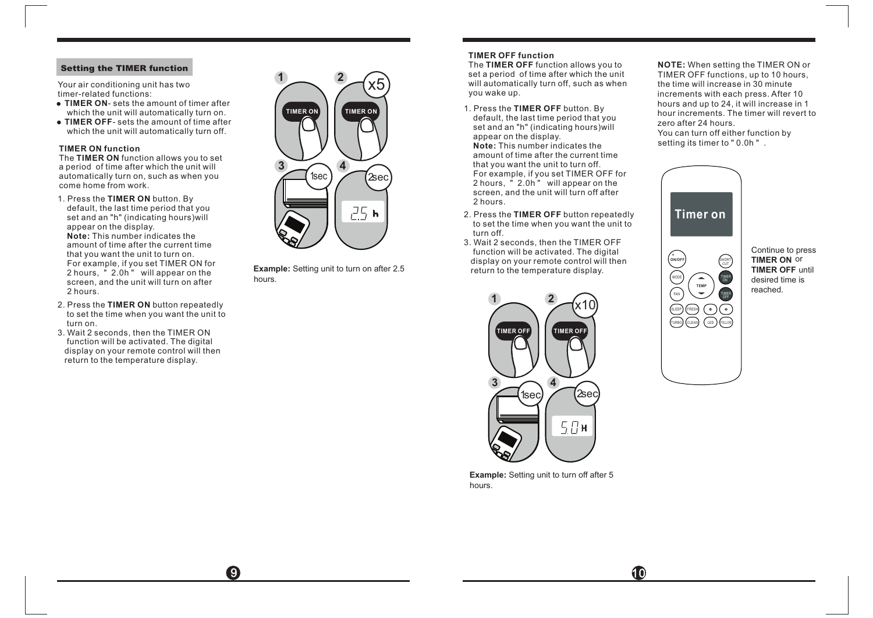#### *Setting the TIMER function*

Your air conditioning unit has two timer-related functions:

- **TIMER ON-** sets the amount of timer after which the unit will automatically turn on.
- **TIMER OFF** sets the amount of time after which the unit will automatically turn off.

#### **TIMER ON function**

The **TIMER ON** function allows you to set a period of time after which the unit will automatically turn on, such as when you come home from work.

- 1. Press the **TIMER ON** button. By **Note:** This number indicates the amount of time after the current time that you want the unit to turn on. For example, if you set TIMER ON for 2 hours, " 2.0h " will appear on the screen, and the unit will turn on after 2 hours. default, the last time period that you set and an "h" (indicating hours)will appear on the display.
- 2. Press the **TIMER ON** button repeatedly to set the time when you want the unit to turn on.
- 3. Wait 2 seconds, then the TIMER ON function will be activated. The digital display on your remote control will then return to the temperature display.



**Example:** Setting unit to turn on after 2.5 **shippiler on the temperature display.** hours.

#### **TIMER OFF function**

The **TIMER OFF** function allows you to set a period of time after which the unit will automatically turn off, such as when you wake up.

- 1. Press the **TIMER OFF** button. By **Note:** This number indicates the amount of time after the current time that you want the unit to turn off. For example, if you set TIMER OFF for 2 hours, " 2.0h " will appear on the screen, and the unit will turn off after 2 hours. default, the last time period that you set and an "h" (indicating hours)will appear on the display.
- 2. Press the **TIMER OFF** button repeatedly to set the time when you want the unit to turn off.
- 3. Wait 2 seconds, then the TIMER OFF function will be activated. The digital display on your remote control will then<br>return to the temperature display.



**Example :** Setting unit to turn off after 5 hours.

**NOTE:** When setting the TIMER ON or setting its timer to " 0.0h " . TIMER OFF functions, up to 10 hours, the time will increase in 30 minute increments with each press. After 10 hours and up to 24, it will increase in 1 hour increments. The timer will revert to zero after 24 hours. You can turn off either function by



Continue to press **TIMER ON** or **TIMER OFF** until desired time is reached.

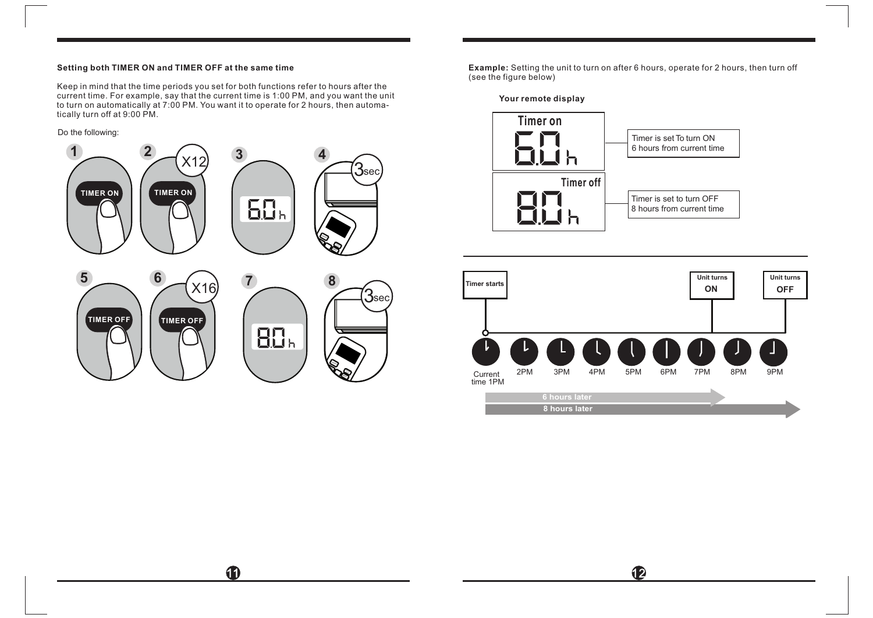#### **Setting both TIMER ON and TIMER OFF at the same time**

Keep in mind that the time periods you set for both functions refer to hours after the current time. For example, say that the current time is 1:00 PM, and you want the unit to turn on automatically at 7:00 PM. You want it to operate for 2 hours, then automatically turn off at 9:00 PM.

Do the following:



11

**Example:** Setting the unit to turn on after 6 hours, operate for 2 hours, then turn off (see the figure below)